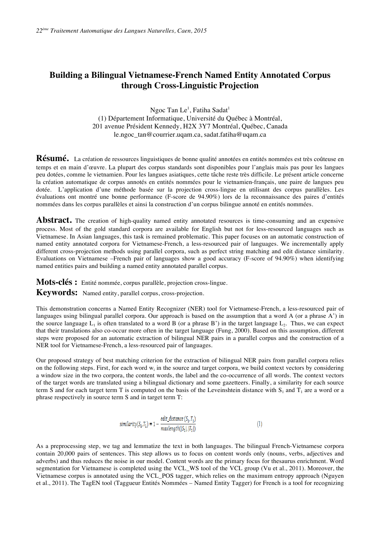## **Building a Bilingual Vietnamese-French Named Entity Annotated Corpus through Cross-Linguistic Projection**

Ngoc Tan Le $^{\rm l}$ , Fatiha Sadat $^{\rm l}$ (1) Département Informatique, Université du Québec à Montréal, 201 avenue Président Kennedy, H2X 3Y7 Montréal, Québec, Canada le.ngoc\_tan@courrier.uqam.ca, sadat.fatiha@uqam.ca

Résumé. La création de ressources linguistiques de bonne qualité annotées en entités nommées est très coûteuse en temps et en main d'œuvre. La plupart des corpus standards sont disponibles pour l'anglais mais pas pour les langues peu dotées, comme le vietnamien. Pour les langues asiatiques, cette tâche reste très difficile. Le présent article concerne la création automatique de corpus annotés en entités nommées pour le vietnamien-français, une paire de langues peu dotée. L'application d'une méthode basée sur la projection cross-lingue en utilisant des corpus parallèles. Les évaluations ont montré une bonne performance (F-score de 94.90%) lors de la reconnaissance des paires d'entités nommées dans les corpus parallèles et ainsi la construction d'un corpus bilingue annoté en entités nommées.

**Abstract.** The creation of high-quality named entity annotated resources is time-consuming and an expensive process. Most of the gold standard corpora are available for English but not for less-resourced languages such as Vietnamese. In Asian languages, this task is remained problematic. This paper focuses on an automatic construction of named entity annotated corpora for Vietnamese-French, a less-resourced pair of languages. We incrementally apply different cross-projection methods using parallel corpora, such as perfect string matching and edit distance similarity. Evaluations on Vietnamese –French pair of languages show a good accuracy (F-score of 94.90%) when identifying named entities pairs and building a named entity annotated parallel corpus.

**Mots-clés :** Entité nommée, corpus parallèle, projection cross-lingue.

**Keywords:** Named entity, parallel corpus, cross-projection.

This demonstration concerns a Named Entity Recognizer (NER) tool for Vietnamese-French, a less-resourced pair of languages using bilingual parallel corpora. Our approach is based on the assumption that a word A (or a phrase A') in the source language  $L_1$  is often translated to a word B (or a phrase B') in the target language  $L_2$ . Thus, we can expect that their translations also co-occur more often in the target language (Fung, 2000). Based on this assumption, different steps were proposed for an automatic extraction of bilingual NER pairs in a parallel corpus and the construction of a NER tool for Vietnamese-French, a less-resourced pair of languages.

Our proposed strategy of best matching criterion for the extraction of bilingual NER pairs from parallel corpora relies on the following steps. First, for each word  $w_i$  in the source and target corpora, we build context vectors by considering a window size in the two corpora, the content words, the label and the co-occurrence of all words. The context vectors of the target words are translated using a bilingual dictionary and some gazetteers. Finally, a similarity for each source term S and for each target term T is computed on the basis of the Leveinshtein distance with  $S_1$  and  $T_1$  are a word or a phrase respectively in source term S and in target term T:

$$
similarity(S_1, T_1) = 1 - \frac{edit\_distance(S_1, T_1)}{maxlength([S_1], |T_1|)}
$$
(1)

As a preprocessing step, we tag and lemmatize the text in both languages. The bilingual French-Vietnamese corpora contain 20,000 pairs of sentences. This step allows us to focus on content words only (nouns, verbs, adjectives and adverbs) and thus reduces the noise in our model. Content words are the primary focus for thesaurus enrichment. Word segmentation for Vietnamese is completed using the VCL\_WS tool of the VCL group (Vu et al., 2011). Moreover, the Vietnamese corpus is annotated using the VCL\_POS tagger, which relies on the maximum entropy approach (Nguyen et al., 2011). The TagEN tool (Taggueur Entités Nommées – Named Entity Tagger) for French is a tool for recognizing